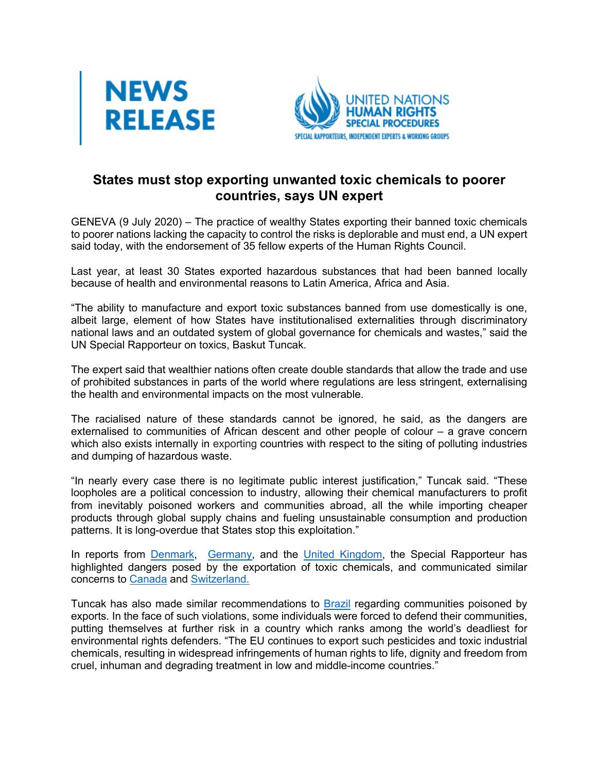



## **States must stop exporting unwanted toxic chemicals to poorer countries, says UN expert**

GENEVA (9 July 2020) – The practice of wealthy States exporting their banned toxic chemicals to poorer nations lacking the capacity to control the risks is deplorable and must end, a UN expert said today, with the endorsement of 35 fellow experts of the Human Rights Council.

Last year, at least 30 States exported hazardous substances that had been banned locally because of health and environmental reasons to Latin America, Africa and Asia.

"The ability to manufacture and export toxic substances banned from use domestically is one, albeit large, element of how States have institutionalised externalities through discriminatory national laws and an outdated system of global governance for chemicals and wastes," said the UN Special Rapporteur on toxics, Baskut Tuncak.

The expert said that wealthier nations often create double standards that allow the trade and use of prohibited substances in parts of the world where regulations are less stringent, externalising the health and environmental impacts on the most vulnerable.

The racialised nature of these standards cannot be ignored, he said, as the dangers are externalised to communities of African descent and other people of colour – a grave concern which also exists internally in exporting countries with respect to the siting of polluting industries and dumping of hazardous waste.

"In nearly every case there is no legitimate public interest justification," Tuncak said. "These loopholes are a political concession to industry, allowing their chemical manufacturers to profit from inevitably poisoned workers and communities abroad, all the while importing cheaper products through global supply chains and fueling unsustainable consumption and production patterns. It is long-overdue that States stop this exploitation."

In reports from Denmark, Germany, and the United Kingdom, the Special Rapporteur has highlighted dangers posed by the exportation of toxic chemicals, and communicated similar concerns to Canada and Switzerland.

Tuncak has also made similar recommendations to Brazil regarding communities poisoned by exports. In the face of such violations, some individuals were forced to defend their communities, putting themselves at further risk in a country which ranks among the world's deadliest for environmental rights defenders. "The EU continues to export such pesticides and toxic industrial chemicals, resulting in widespread infringements of human rights to life, dignity and freedom from cruel, inhuman and degrading treatment in low and middle-income countries."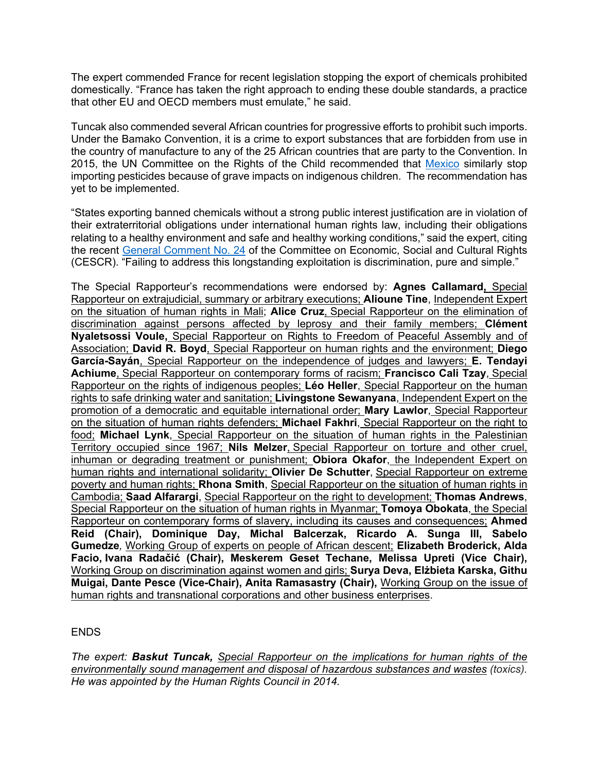The expert commended France for recent legislation stopping the export of chemicals prohibited domestically. "France has taken the right approach to ending these double standards, a practice that other EU and OECD members must emulate," he said.

Tuncak also commended several African countries for progressive efforts to prohibit such imports. Under the Bamako Convention, it is a crime to export substances that are forbidden from use in the country of manufacture to any of the 25 African countries that are party to the Convention. In 2015, the UN Committee on the Rights of the Child recommended that Mexico similarly stop importing pesticides because of grave impacts on indigenous children. The recommendation has yet to be implemented.

"States exporting banned chemicals without a strong public interest justification are in violation of their extraterritorial obligations under international human rights law, including their obligations relating to a healthy environment and safe and healthy working conditions," said the expert, citing the recent General Comment No. 24 of the Committee on Economic, Social and Cultural Rights (CESCR). "Failing to address this longstanding exploitation is discrimination, pure and simple."

The Special Rapporteur's recommendations were endorsed by: **Agnes Callamard,** Special Rapporteur on extrajudicial, summary or arbitrary executions; **Alioune Tine**, Independent Expert on the situation of human rights in Mali; **Alice Cruz**, Special Rapporteur on the elimination of discrimination against persons affected by leprosy and their family members; **Clément Nyaletsossi Voule,** Special Rapporteur on Rights to Freedom of Peaceful Assembly and of Association; **David R. Boyd**, Special Rapporteur on human rights and the environment; **Diego García-Sayán**, Special Rapporteur on the independence of judges and lawyers; **E. Tendayi Achiume**, Special Rapporteur on contemporary forms of racism; **Francisco Cali Tzay**, Special Rapporteur on the rights of indigenous peoples; **Léo Heller**, Special Rapporteur on the human rights to safe drinking water and sanitation; **Livingstone Sewanyana**, Independent Expert on the promotion of a democratic and equitable international order; **Mary Lawlor**, Special Rapporteur on the situation of human rights defenders; **Michael Fakhri**, Special Rapporteur on the right to food; **Michael Lynk**, Special Rapporteur on the situation of human rights in the Palestinian Territory occupied since 1967; **Nils Melzer**, Special Rapporteur on torture and other cruel, inhuman or degrading treatment or punishment; **Obiora Okafor**, the Independent Expert on human rights and international solidarity; **Olivier De Schutter**, Special Rapporteur on extreme poverty and human rights; **Rhona Smith**, Special Rapporteur on the situation of human rights in Cambodia; **Saad Alfarargi**, Special Rapporteur on the right to development; **Thomas Andrews**, Special Rapporteur on the situation of human rights in Myanmar; **Tomoya Obokata**, the Special Rapporteur on contemporary forms of slavery, including its causes and consequences; **Ahmed Reid (Chair), Dominique Day, Michal Balcerzak, Ricardo A. Sunga III, Sabelo Gumedze***,* Working Group of experts on people of African descent; **Elizabeth Broderick, Alda Facio, Ivana Radačić (Chair), Meskerem Geset Techane, Melissa Upreti (Vice Chair),** Working Group on discrimination against women and girls; **Surya Deva, Elżbieta Karska, Githu Muigai, Dante Pesce (Vice-Chair), Anita Ramasastry (Chair),** Working Group on the issue of human rights and transnational corporations and other business enterprises.

## ENDS

*The expert: Baskut Tuncak, Special Rapporteur on the implications for human rights of the environmentally sound management and disposal of hazardous substances and wastes (toxics). He was appointed by the Human Rights Council in 2014.*